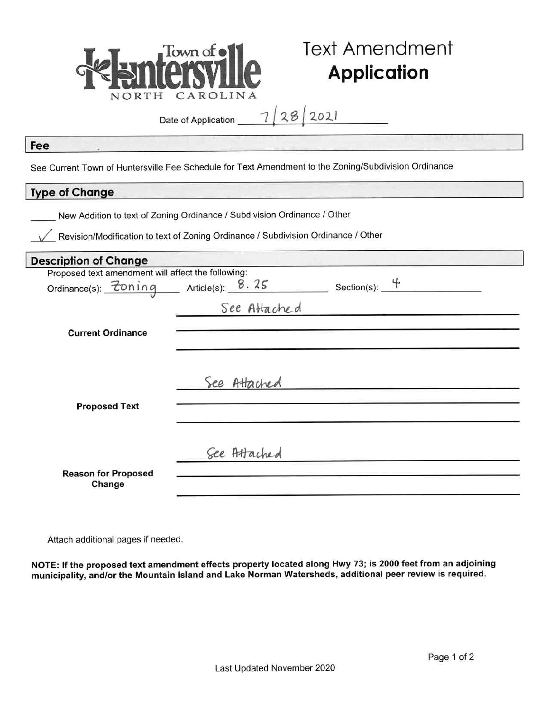

# **Text Amendment Application**

Date of Application

 $28/2021$ 

### Fee

See Current Town of Huntersville Fee Schedule for Text Amendment to the Zoning/Subdivision Ordinance

## **Type of Change**

New Addition to text of Zoning Ordinance / Subdivision Ordinance / Other

Revision/Modification to text of Zoning Ordinance / Subdivision Ordinance / Other

| <b>Description of Change</b>                       |              |                 |
|----------------------------------------------------|--------------|-----------------|
| Proposed text amendment will affect the following: |              |                 |
| Ordinance(s): <u>Zoning</u> Article(s): 8.25       |              | Section(s): $4$ |
|                                                    | See Attached |                 |
| <b>Current Ordinance</b>                           |              |                 |
| <b>Proposed Text</b>                               | See Attached |                 |
|                                                    | See Attached |                 |
| <b>Reason for Proposed</b><br>Change               |              |                 |

Attach additional pages if needed.

NOTE: If the proposed text amendment effects property located along Hwy 73; is 2000 feet from an adjoining municipality, and/or the Mountain Island and Lake Norman Watersheds, additional peer review is required.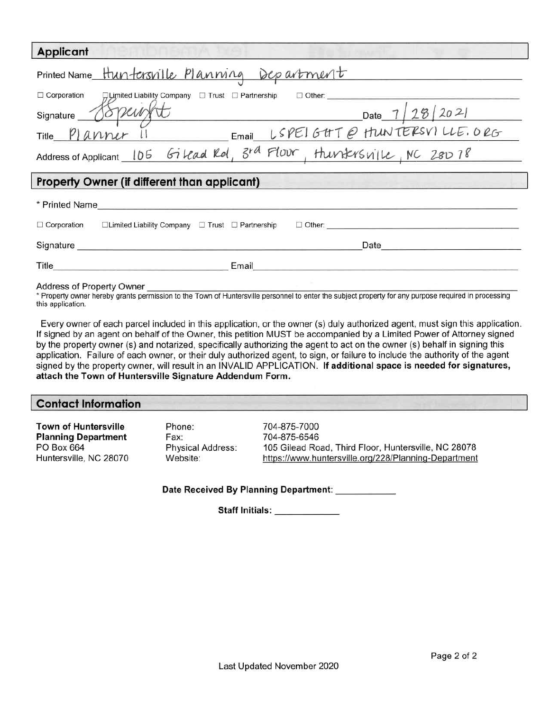| <b>Applicant</b>                                                                                        |  |  |  |
|---------------------------------------------------------------------------------------------------------|--|--|--|
| Printed Name Huntersville Planning Department                                                           |  |  |  |
| $\Box$ Corporation<br>口 Limited Liability Company □ Trust □ Partnership<br>$\Box$ Other:                |  |  |  |
| Signature 18Peur<br>Date $7/28/2021$                                                                    |  |  |  |
| $LSPE1GHTQ$ HUNTERSVILLE. ORG<br>Title Planner                                                          |  |  |  |
| Address of Applicant 106 Gilead Rd, 3rd Flow, Hunkrsville, NC 28078                                     |  |  |  |
| Property Owner (if different than applicant)                                                            |  |  |  |
| * Printed Name                                                                                          |  |  |  |
| $\Box$ Corporation<br>$\Box$ Limited Liability Company $\Box$ Trust $\Box$ Partnership<br>$\Box$ Other: |  |  |  |
| Signature<br>Date                                                                                       |  |  |  |
| Title<br>Email                                                                                          |  |  |  |

#### **Address of Property Owner**

\* Property owner hereby grants permission to the Town of Huntersville personnel to enter the subject property for any purpose required in processing this application.

Every owner of each parcel included in this application, or the owner (s) duly authorized agent, must sign this application. If signed by an agent on behalf of the Owner, this petition MUST be accompanied by a Limited Power of Attorney signed by the property owner (s) and notarized, specifically authorizing the agent to act on the owner (s) behalf in signing this application. Failure of each owner, or their duly authorized agent, to sign, or failure to include the authority of the agent signed by the property owner, will result in an INVALID APPLICATION. If additional space is needed for signatures, attach the Town of Huntersville Signature Addendum Form.

#### **Contact Information**

**Town of Huntersville Planning Department** PO Box 664 Huntersville, NC 28070 Phone: Fax: **Physical Address:** Website:

704-875-7000 704-875-6546 105 Gilead Road, Third Floor, Huntersville, NC 28078 https://www.huntersville.org/228/Planning-Department

Date Received By Planning Department:

Staff Initials: \_\_\_\_\_\_\_\_\_\_\_